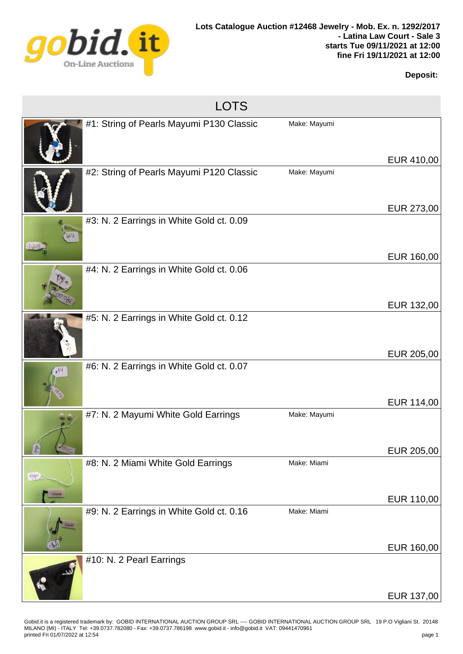

## **Deposit:**

LOTS

|                   | #1: String of Pearls Mayumi P130 Classic | Make: Mayumi | EUR 410,00 |
|-------------------|------------------------------------------|--------------|------------|
|                   | #2: String of Pearls Mayumi P120 Classic | Make: Mayumi |            |
|                   |                                          |              | EUR 273,00 |
| $W_3$<br>$-1.009$ | #3: N. 2 Earrings in White Gold ct. 0.09 |              | EUR 160,00 |
|                   |                                          |              |            |
|                   | #4: N. 2 Earrings in White Gold ct. 0.06 |              |            |
|                   |                                          |              | EUR 132,00 |
|                   | #5: N. 2 Earrings in White Gold ct. 0.12 |              |            |
|                   |                                          |              | EUR 205,00 |
|                   | #6: N. 2 Earrings in White Gold ct. 0.07 |              | EUR 114,00 |
|                   | #7: N. 2 Mayumi White Gold Earrings      | Make: Mayumi |            |
|                   |                                          |              | EUR 205,00 |
|                   | #8: N. 2 Miami White Gold Earrings       | Make: Miami  |            |
| <b>PPT</b>        |                                          |              |            |
| E.334.00          |                                          |              | EUR 110,00 |
|                   | #9: N. 2 Earrings in White Gold ct. 0.16 | Make: Miami  | EUR 160,00 |
|                   |                                          |              |            |
|                   | #10: N. 2 Pearl Earrings                 |              |            |
|                   |                                          |              | EUR 137,00 |